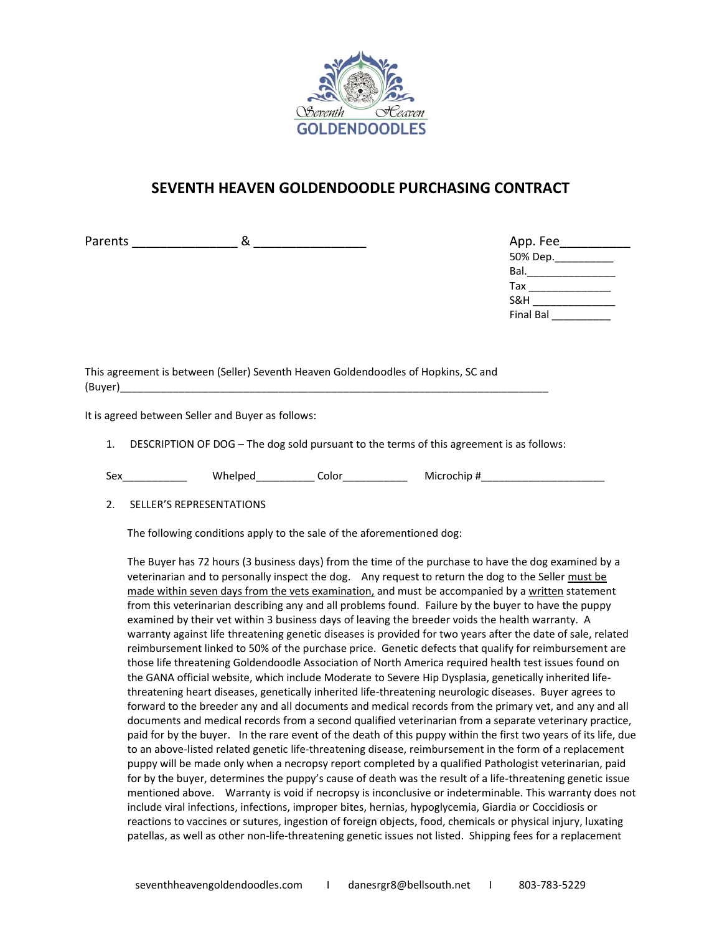

# **SEVENTH HEAVEN GOLDENDOODLE PURCHASING CONTRACT**

Parents and  $\infty$ 

| App. Fee                                                                                                       |  |
|----------------------------------------------------------------------------------------------------------------|--|
| 50% Dep. ___________                                                                                           |  |
| Bal. In the set of the set of the set of the set of the set of the set of the set of the set of the set of the |  |
| Tax                                                                                                            |  |
| S&H                                                                                                            |  |
| <b>Final Bal</b>                                                                                               |  |

This agreement is between (Seller) Seventh Heaven Goldendoodles of Hopkins, SC and (Buyer)\_\_\_\_\_\_\_\_\_\_\_\_\_\_\_\_\_\_\_\_\_\_\_\_\_\_\_\_\_\_\_\_\_\_\_\_\_\_\_\_\_\_\_\_\_\_\_\_\_\_\_\_\_\_\_\_\_\_\_\_\_\_\_\_\_\_\_\_\_\_\_\_\_

It is agreed between Seller and Buyer as follows:

1. DESCRIPTION OF DOG – The dog sold pursuant to the terms of this agreement is as follows:

Sex\_\_\_\_\_\_\_\_\_\_\_ Whelped\_\_\_\_\_\_\_\_\_\_ Color\_\_\_\_\_\_\_\_\_\_\_ Microchip #\_\_\_\_\_\_\_\_\_\_\_\_\_\_\_\_\_\_\_\_\_

2. SELLER'S REPRESENTATIONS

The following conditions apply to the sale of the aforementioned dog:

The Buyer has 72 hours (3 business days) from the time of the purchase to have the dog examined by a veterinarian and to personally inspect the dog. Any request to return the dog to the Seller must be made within seven days from the vets examination, and must be accompanied by a written statement from this veterinarian describing any and all problems found. Failure by the buyer to have the puppy examined by their vet within 3 business days of leaving the breeder voids the health warranty. A warranty against life threatening genetic diseases is provided for two years after the date of sale, related reimbursement linked to 50% of the purchase price. Genetic defects that qualify for reimbursement are those life threatening Goldendoodle Association of North America required health test issues found on the GANA official website, which include Moderate to Severe Hip Dysplasia, genetically inherited lifethreatening heart diseases, genetically inherited life-threatening neurologic diseases. Buyer agrees to forward to the breeder any and all documents and medical records from the primary vet, and any and all documents and medical records from a second qualified veterinarian from a separate veterinary practice, paid for by the buyer. In the rare event of the death of this puppy within the first two years of its life, due to an above-listed related genetic life-threatening disease, reimbursement in the form of a replacement puppy will be made only when a necropsy report completed by a qualified Pathologist veterinarian, paid for by the buyer, determines the puppy's cause of death was the result of a life-threatening genetic issue mentioned above. Warranty is void if necropsy is inconclusive or indeterminable. This warranty does not include viral infections, infections, improper bites, hernias, hypoglycemia, Giardia or Coccidiosis or reactions to vaccines or sutures, ingestion of foreign objects, food, chemicals or physical injury, luxating patellas, as well as other non-life-threatening genetic issues not listed. Shipping fees for a replacement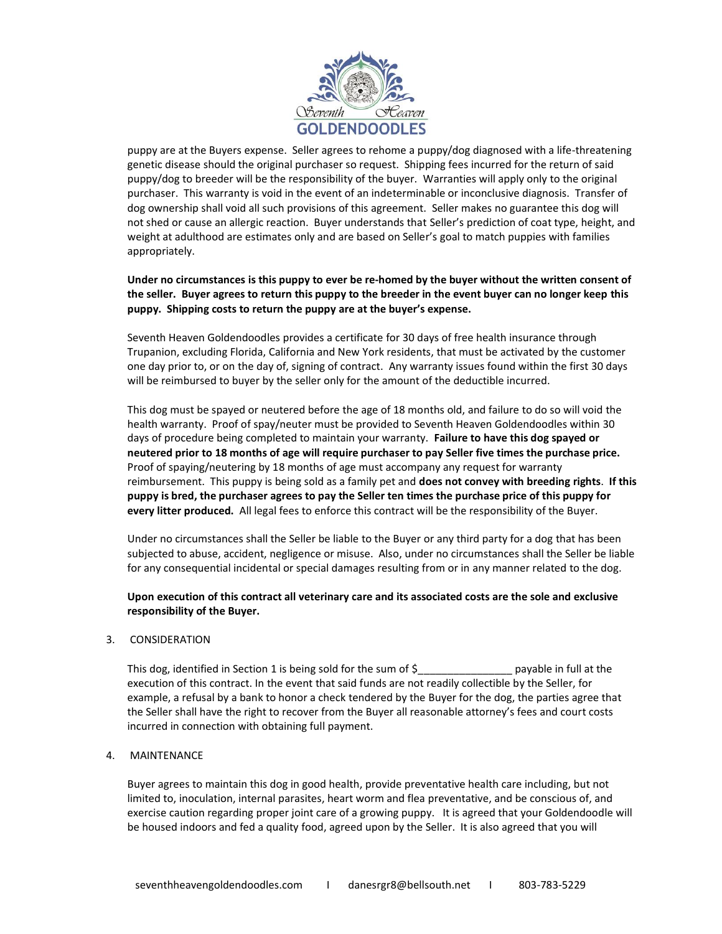

puppy are at the Buyers expense. Seller agrees to rehome a puppy/dog diagnosed with a life-threatening genetic disease should the original purchaser so request. Shipping fees incurred for the return of said puppy/dog to breeder will be the responsibility of the buyer. Warranties will apply only to the original purchaser. This warranty is void in the event of an indeterminable or inconclusive diagnosis. Transfer of dog ownership shall void all such provisions of this agreement. Seller makes no guarantee this dog will not shed or cause an allergic reaction. Buyer understands that Seller's prediction of coat type, height, and weight at adulthood are estimates only and are based on Seller's goal to match puppies with families appropriately.

#### **Under no circumstances is this puppy to ever be re-homed by the buyer without the written consent of the seller. Buyer agrees to return this puppy to the breeder in the event buyer can no longer keep this puppy. Shipping costs to return the puppy are at the buyer's expense.**

Seventh Heaven Goldendoodles provides a certificate for 30 days of free health insurance through Trupanion, excluding Florida, California and New York residents, that must be activated by the customer one day prior to, or on the day of, signing of contract. Any warranty issues found within the first 30 days will be reimbursed to buyer by the seller only for the amount of the deductible incurred.

This dog must be spayed or neutered before the age of 18 months old, and failure to do so will void the health warranty. Proof of spay/neuter must be provided to Seventh Heaven Goldendoodles within 30 days of procedure being completed to maintain your warranty. **Failure to have this dog spayed or neutered prior to 18 months of age will require purchaser to pay Seller five times the purchase price.** Proof of spaying/neutering by 18 months of age must accompany any request for warranty reimbursement. This puppy is being sold as a family pet and **does not convey with breeding rights**. **If this puppy is bred, the purchaser agrees to pay the Seller ten times the purchase price of this puppy for every litter produced.** All legal fees to enforce this contract will be the responsibility of the Buyer.

Under no circumstances shall the Seller be liable to the Buyer or any third party for a dog that has been subjected to abuse, accident, negligence or misuse. Also, under no circumstances shall the Seller be liable for any consequential incidental or special damages resulting from or in any manner related to the dog.

### **Upon execution of this contract all veterinary care and its associated costs are the sole and exclusive responsibility of the Buyer.**

#### 3. CONSIDERATION

This dog, identified in Section 1 is being sold for the sum of  $\zeta$  examples the payable in full at the execution of this contract. In the event that said funds are not readily collectible by the Seller, for example, a refusal by a bank to honor a check tendered by the Buyer for the dog, the parties agree that the Seller shall have the right to recover from the Buyer all reasonable attorney's fees and court costs incurred in connection with obtaining full payment.

#### 4. MAINTENANCE

Buyer agrees to maintain this dog in good health, provide preventative health care including, but not limited to, inoculation, internal parasites, heart worm and flea preventative, and be conscious of, and exercise caution regarding proper joint care of a growing puppy. It is agreed that your Goldendoodle will be housed indoors and fed a quality food, agreed upon by the Seller. It is also agreed that you will